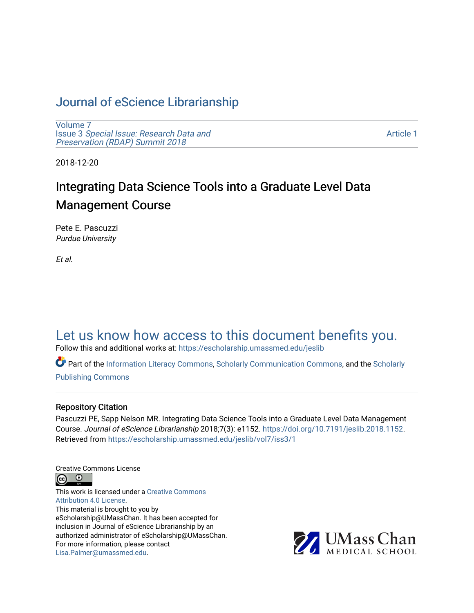# [Journal of eScience Librarianship](https://escholarship.umassmed.edu/jeslib)

[Volume 7](https://escholarship.umassmed.edu/jeslib/vol7) Issue 3 [Special Issue: Research Data and](https://escholarship.umassmed.edu/jeslib/vol7/iss3)  [Preservation \(RDAP\) Summit 2018](https://escholarship.umassmed.edu/jeslib/vol7/iss3)

[Article 1](https://escholarship.umassmed.edu/jeslib/vol7/iss3/1) 

2018-12-20

# Integrating Data Science Tools into a Graduate Level Data Management Course

Pete E. Pascuzzi Purdue University

Et al.

# [Let us know how access to this document benefits you.](https://arcsapps.umassmed.edu/redcap/surveys/?s=XWRHNF9EJE)

Follow this and additional works at: [https://escholarship.umassmed.edu/jeslib](https://escholarship.umassmed.edu/jeslib?utm_source=escholarship.umassmed.edu%2Fjeslib%2Fvol7%2Fiss3%2F1&utm_medium=PDF&utm_campaign=PDFCoverPages) 

Part of the [Information Literacy Commons](http://network.bepress.com/hgg/discipline/1243?utm_source=escholarship.umassmed.edu%2Fjeslib%2Fvol7%2Fiss3%2F1&utm_medium=PDF&utm_campaign=PDFCoverPages), [Scholarly Communication Commons](http://network.bepress.com/hgg/discipline/1272?utm_source=escholarship.umassmed.edu%2Fjeslib%2Fvol7%2Fiss3%2F1&utm_medium=PDF&utm_campaign=PDFCoverPages), and the [Scholarly](http://network.bepress.com/hgg/discipline/1273?utm_source=escholarship.umassmed.edu%2Fjeslib%2Fvol7%2Fiss3%2F1&utm_medium=PDF&utm_campaign=PDFCoverPages) [Publishing Commons](http://network.bepress.com/hgg/discipline/1273?utm_source=escholarship.umassmed.edu%2Fjeslib%2Fvol7%2Fiss3%2F1&utm_medium=PDF&utm_campaign=PDFCoverPages)

#### Repository Citation

Pascuzzi PE, Sapp Nelson MR. Integrating Data Science Tools into a Graduate Level Data Management Course. Journal of eScience Librarianship 2018;7(3): e1152. [https://doi.org/10.7191/jeslib.2018.1152.](https://doi.org/10.7191/jeslib.2018.1152) Retrieved from [https://escholarship.umassmed.edu/jeslib/vol7/iss3/1](https://escholarship.umassmed.edu/jeslib/vol7/iss3/1?utm_source=escholarship.umassmed.edu%2Fjeslib%2Fvol7%2Fiss3%2F1&utm_medium=PDF&utm_campaign=PDFCoverPages) 

Creative Commons License



This work is licensed under a [Creative Commons](https://creativecommons.org/licenses/by/4.0/) [Attribution 4.0 License.](https://creativecommons.org/licenses/by/4.0/) This material is brought to you by eScholarship@UMassChan. It has been accepted for inclusion in Journal of eScience Librarianship by an authorized administrator of eScholarship@UMassChan. For more information, please contact [Lisa.Palmer@umassmed.edu](mailto:Lisa.Palmer@umassmed.edu).

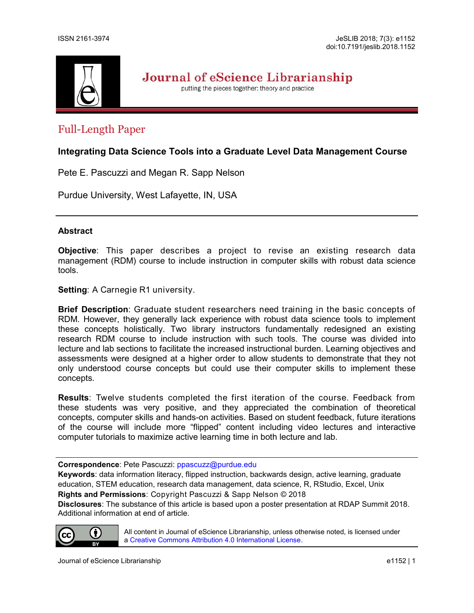

Journal of eScience Librarianship

putting the pieces together: theory and practice

## Full-Length Paper

### **Integrating Data Science Tools into a Graduate Level Data Management Course**

Pete E. Pascuzzi and Megan R. Sapp Nelson

Purdue University, West Lafayette, IN, USA

#### **Abstract**

**Objective**: This paper describes a project to revise an existing research data management (RDM) course to include instruction in computer skills with robust data science tools.

**Setting: A Carnegie R1 university.** 

**Brief Description**: Graduate student researchers need training in the basic concepts of RDM. However, they generally lack experience with robust data science tools to implement these concepts holistically. Two library instructors fundamentally redesigned an existing research RDM course to include instruction with such tools. The course was divided into lecture and lab sections to facilitate the increased instructional burden. Learning objectives and assessments were designed at a higher order to allow students to demonstrate that they not only understood course concepts but could use their computer skills to implement these concepts.

**Results**: Twelve students completed the first iteration of the course. Feedback from these students was very positive, and they appreciated the combination of theoretical concepts, computer skills and hands-on activities. Based on student feedback, future iterations of the course will include more "flipped" content including video lectures and interactive computer tutorials to maximize active learning time in both lecture and lab.

**Correspondence**: Pete Pascuzzi: [ppascuzz@purdue.edu](mailto:ppascuzz@purdue.edu)

**Keywords**: data information literacy, flipped instruction, backwards design, active learning, graduate education, STEM education, research data management, data science, R, RStudio, Excel, Unix **Rights and Permissions**: Copyright Pascuzzi & Sapp Nelson © 2018

**Disclosures**: The substance of this article is based upon a poster presentation at RDAP Summit 2018. Additional information at end of article.



All content in Journal of eScience Librarianship, unless otherwise noted, is licensed under a [Creative Commons Attribution 4.0 International License.](http://creativecommons.org/licenses/by/4.0/)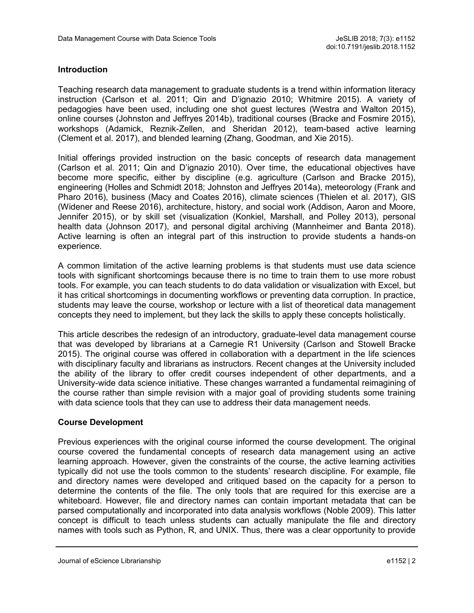#### **Introduction**

Teaching research data management to graduate students is a trend within information literacy instruction (Carlson et al. 2011; Qin and D'ignazio 2010; Whitmire 2015). A variety of pedagogies have been used, including one shot guest lectures (Westra and Walton 2015), online courses (Johnston and Jeffryes 2014b), traditional courses (Bracke and Fosmire 2015), workshops (Adamick, Reznik-Zellen, and Sheridan 2012), team-based active learning (Clement et al. 2017), and blended learning (Zhang, Goodman, and Xie 2015).

Initial offerings provided instruction on the basic concepts of research data management (Carlson et al. 2011; Qin and D'ignazio 2010). Over time, the educational objectives have become more specific, either by discipline (e.g. agriculture (Carlson and Bracke 2015), engineering (Holles and Schmidt 2018; Johnston and Jeffryes 2014a), meteorology (Frank and Pharo 2016), business (Macy and Coates 2016), climate sciences (Thielen et al. 2017), GIS (Widener and Reese 2016), architecture, history, and social work (Addison, Aaron and Moore, Jennifer 2015), or by skill set (visualization (Konkiel, Marshall, and Polley 2013), personal health data (Johnson 2017), and personal digital archiving (Mannheimer and Banta 2018). Active learning is often an integral part of this instruction to provide students a hands-on experience.

A common limitation of the active learning problems is that students must use data science tools with significant shortcomings because there is no time to train them to use more robust tools. For example, you can teach students to do data validation or visualization with Excel, but it has critical shortcomings in documenting workflows or preventing data corruption. In practice, students may leave the course, workshop or lecture with a list of theoretical data management concepts they need to implement, but they lack the skills to apply these concepts holistically.

This article describes the redesign of an introductory, graduate-level data management course that was developed by librarians at a Carnegie R1 University (Carlson and Stowell Bracke 2015). The original course was offered in collaboration with a department in the life sciences with disciplinary faculty and librarians as instructors. Recent changes at the University included the ability of the library to offer credit courses independent of other departments, and a University-wide data science initiative. These changes warranted a fundamental reimagining of the course rather than simple revision with a major goal of providing students some training with data science tools that they can use to address their data management needs.

#### **Course Development**

Previous experiences with the original course informed the course development. The original course covered the fundamental concepts of research data management using an active learning approach. However, given the constraints of the course, the active learning activities typically did not use the tools common to the students' research discipline. For example, file and directory names were developed and critiqued based on the capacity for a person to determine the contents of the file. The only tools that are required for this exercise are a whiteboard. However, file and directory names can contain important metadata that can be parsed computationally and incorporated into data analysis workflows (Noble 2009). This latter concept is difficult to teach unless students can actually manipulate the file and directory names with tools such as Python, R, and UNIX. Thus, there was a clear opportunity to provide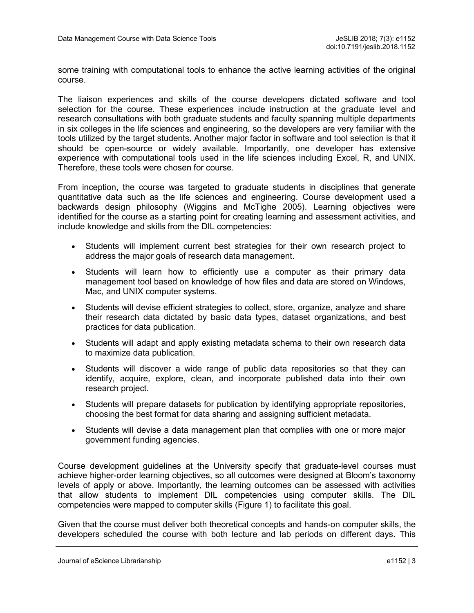some training with computational tools to enhance the active learning activities of the original course.

The liaison experiences and skills of the course developers dictated software and tool selection for the course. These experiences include instruction at the graduate level and research consultations with both graduate students and faculty spanning multiple departments in six colleges in the life sciences and engineering, so the developers are very familiar with the tools utilized by the target students. Another major factor in software and tool selection is that it should be open-source or widely available. Importantly, one developer has extensive experience with computational tools used in the life sciences including Excel, R, and UNIX. Therefore, these tools were chosen for course.

From inception, the course was targeted to graduate students in disciplines that generate quantitative data such as the life sciences and engineering. Course development used a backwards design philosophy (Wiggins and McTighe 2005). Learning objectives were identified for the course as a starting point for creating learning and assessment activities, and include knowledge and skills from the DIL competencies:

- Students will implement current best strategies for their own research project to address the major goals of research data management.
- Students will learn how to efficiently use a computer as their primary data management tool based on knowledge of how files and data are stored on Windows, Mac, and UNIX computer systems.
- Students will devise efficient strategies to collect, store, organize, analyze and share their research data dictated by basic data types, dataset organizations, and best practices for data publication.
- Students will adapt and apply existing metadata schema to their own research data to maximize data publication.
- Students will discover a wide range of public data repositories so that they can identify, acquire, explore, clean, and incorporate published data into their own research project.
- Students will prepare datasets for publication by identifying appropriate repositories, choosing the best format for data sharing and assigning sufficient metadata.
- Students will devise a data management plan that complies with one or more major government funding agencies.

Course development guidelines at the University specify that graduate-level courses must achieve higher-order learning objectives, so all outcomes were designed at Bloom's taxonomy levels of apply or above. Importantly, the learning outcomes can be assessed with activities that allow students to implement DIL competencies using computer skills. The DIL competencies were mapped to computer skills (Figure 1) to facilitate this goal.

Given that the course must deliver both theoretical concepts and hands-on computer skills, the developers scheduled the course with both lecture and lab periods on different days. This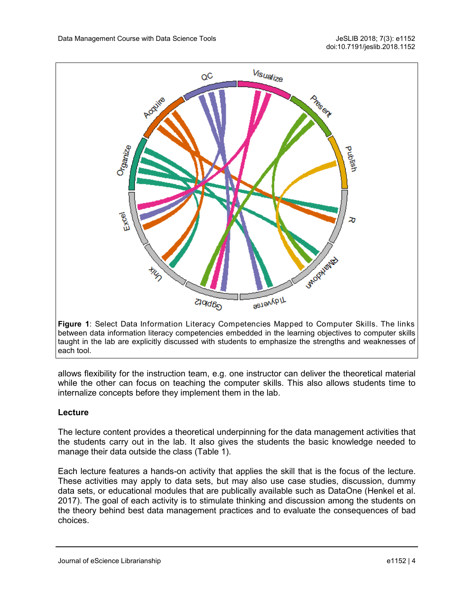

**Figure 1**: Select Data Information Literacy Competencies Mapped to Computer Skills. The links between data information literacy competencies embedded in the learning objectives to computer skills taught in the lab are explicitly discussed with students to emphasize the strengths and weaknesses of each tool.

allows flexibility for the instruction team, e.g. one instructor can deliver the theoretical material while the other can focus on teaching the computer skills. This also allows students time to internalize concepts before they implement them in the lab.

#### **Lecture**

The lecture content provides a theoretical underpinning for the data management activities that the students carry out in the lab. It also gives the students the basic knowledge needed to manage their data outside the class (Table 1).

Each lecture features a hands-on activity that applies the skill that is the focus of the lecture. These activities may apply to data sets, but may also use case studies, discussion, dummy data sets, or educational modules that are publically available such as DataOne (Henkel et al. 2017). The goal of each activity is to stimulate thinking and discussion among the students on the theory behind best data management practices and to evaluate the consequences of bad choices.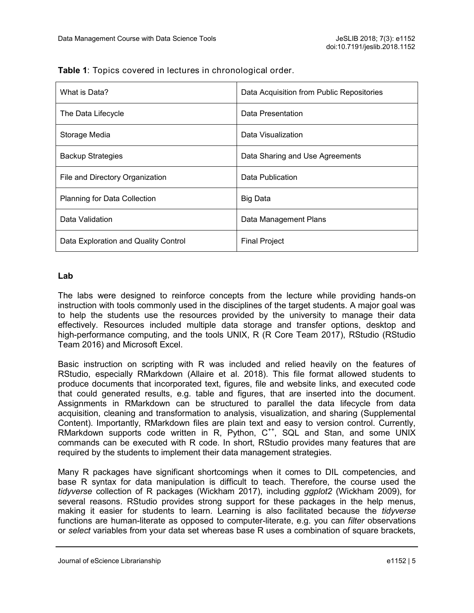| What is Data?                        | Data Acquisition from Public Repositories |
|--------------------------------------|-------------------------------------------|
| The Data Lifecycle                   | Data Presentation                         |
| Storage Media                        | Data Visualization                        |
| <b>Backup Strategies</b>             | Data Sharing and Use Agreements           |
| File and Directory Organization      | Data Publication                          |
| <b>Planning for Data Collection</b>  | <b>Big Data</b>                           |
| Data Validation                      | Data Management Plans                     |
| Data Exploration and Quality Control | <b>Final Project</b>                      |

**Table 1**: Topics covered in lectures in chronological order.

#### **Lab**

The labs were designed to reinforce concepts from the lecture while providing hands-on instruction with tools commonly used in the disciplines of the target students. A major goal was to help the students use the resources provided by the university to manage their data effectively. Resources included multiple data storage and transfer options, desktop and high-performance computing, and the tools UNIX, R (R Core Team 2017), RStudio (RStudio Team 2016) and Microsoft Excel.

Basic instruction on scripting with R was included and relied heavily on the features of RStudio, especially RMarkdown (Allaire et al. 2018). This file format allowed students to produce documents that incorporated text, figures, file and website links, and executed code that could generated results, e.g. table and figures, that are inserted into the document. Assignments in RMarkdown can be structured to parallel the data lifecycle from data acquisition, cleaning and transformation to analysis, visualization, and sharing (Supplemental Content). Importantly, RMarkdown files are plain text and easy to version control. Currently, RMarkdown supports code written in R, Python, C<sup>++</sup>, SQL and Stan, and some UNIX commands can be executed with R code. In short, RStudio provides many features that are required by the students to implement their data management strategies.

Many R packages have significant shortcomings when it comes to DIL competencies, and base R syntax for data manipulation is difficult to teach. Therefore, the course used the *tidyverse* collection of R packages (Wickham 2017), including *ggplot2* (Wickham 2009), for several reasons. RStudio provides strong support for these packages in the help menus, making it easier for students to learn. Learning is also facilitated because the *tidyverse*  functions are human-literate as opposed to computer-literate, e.g. you can *filter* observations or *select* variables from your data set whereas base R uses a combination of square brackets,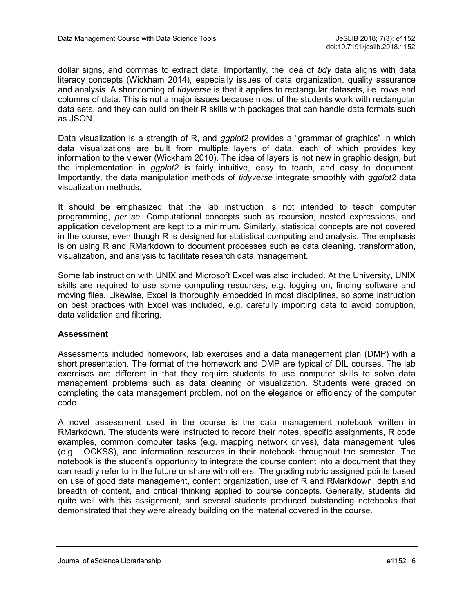dollar signs, and commas to extract data. Importantly, the idea of *tidy* data aligns with data literacy concepts (Wickham 2014), especially issues of data organization, quality assurance and analysis. A shortcoming of *tidyverse* is that it applies to rectangular datasets, i.e. rows and columns of data. This is not a major issues because most of the students work with rectangular data sets, and they can build on their R skills with packages that can handle data formats such as JSON.

Data visualization is a strength of R, and *ggplot2* provides a "grammar of graphics" in which data visualizations are built from multiple layers of data, each of which provides key information to the viewer (Wickham 2010). The idea of layers is not new in graphic design, but the implementation in *ggplot2* is fairly intuitive, easy to teach, and easy to document. Importantly, the data manipulation methods of *tidyverse* integrate smoothly with *ggplot2* data visualization methods.

It should be emphasized that the lab instruction is not intended to teach computer programming, *per se*. Computational concepts such as recursion, nested expressions, and application development are kept to a minimum. Similarly, statistical concepts are not covered in the course, even though R is designed for statistical computing and analysis. The emphasis is on using R and RMarkdown to document processes such as data cleaning, transformation, visualization, and analysis to facilitate research data management.

Some lab instruction with UNIX and Microsoft Excel was also included. At the University, UNIX skills are required to use some computing resources, e.g. logging on, finding software and moving files. Likewise, Excel is thoroughly embedded in most disciplines, so some instruction on best practices with Excel was included, e.g. carefully importing data to avoid corruption, data validation and filtering.

#### **Assessment**

Assessments included homework, lab exercises and a data management plan (DMP) with a short presentation. The format of the homework and DMP are typical of DIL courses. The lab exercises are different in that they require students to use computer skills to solve data management problems such as data cleaning or visualization. Students were graded on completing the data management problem, not on the elegance or efficiency of the computer code.

A novel assessment used in the course is the data management notebook written in RMarkdown. The students were instructed to record their notes, specific assignments, R code examples, common computer tasks (e.g. mapping network drives), data management rules (e.g. LOCKSS), and information resources in their notebook throughout the semester. The notebook is the student's opportunity to integrate the course content into a document that they can readily refer to in the future or share with others. The grading rubric assigned points based on use of good data management, content organization, use of R and RMarkdown, depth and breadth of content, and critical thinking applied to course concepts. Generally, students did quite well with this assignment, and several students produced outstanding notebooks that demonstrated that they were already building on the material covered in the course.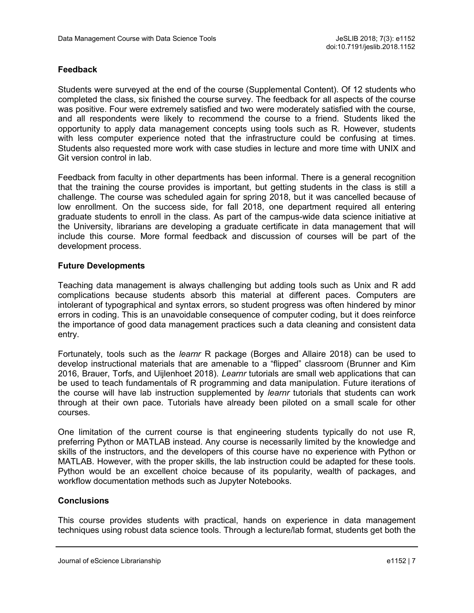### **Feedback**

Students were surveyed at the end of the course (Supplemental Content). Of 12 students who completed the class, six finished the course survey. The feedback for all aspects of the course was positive. Four were extremely satisfied and two were moderately satisfied with the course, and all respondents were likely to recommend the course to a friend. Students liked the opportunity to apply data management concepts using tools such as R. However, students with less computer experience noted that the infrastructure could be confusing at times. Students also requested more work with case studies in lecture and more time with UNIX and Git version control in lab.

Feedback from faculty in other departments has been informal. There is a general recognition that the training the course provides is important, but getting students in the class is still a challenge. The course was scheduled again for spring 2018, but it was cancelled because of low enrollment. On the success side, for fall 2018, one department required all entering graduate students to enroll in the class. As part of the campus-wide data science initiative at the University, librarians are developing a graduate certificate in data management that will include this course. More formal feedback and discussion of courses will be part of the development process.

#### **Future Developments**

Teaching data management is always challenging but adding tools such as Unix and R add complications because students absorb this material at different paces. Computers are intolerant of typographical and syntax errors, so student progress was often hindered by minor errors in coding. This is an unavoidable consequence of computer coding, but it does reinforce the importance of good data management practices such a data cleaning and consistent data entry.

Fortunately, tools such as the *learnr* R package (Borges and Allaire 2018) can be used to develop instructional materials that are amenable to a "flipped" classroom (Brunner and Kim 2016, Brauer, Torfs, and Uijlenhoet 2018). *Learnr* tutorials are small web applications that can be used to teach fundamentals of R programming and data manipulation. Future iterations of the course will have lab instruction supplemented by *learnr* tutorials that students can work through at their own pace. Tutorials have already been piloted on a small scale for other courses.

One limitation of the current course is that engineering students typically do not use R, preferring Python or MATLAB instead. Any course is necessarily limited by the knowledge and skills of the instructors, and the developers of this course have no experience with Python or MATLAB. However, with the proper skills, the lab instruction could be adapted for these tools. Python would be an excellent choice because of its popularity, wealth of packages, and workflow documentation methods such as Jupyter Notebooks.

### **Conclusions**

This course provides students with practical, hands on experience in data management techniques using robust data science tools. Through a lecture/lab format, students get both the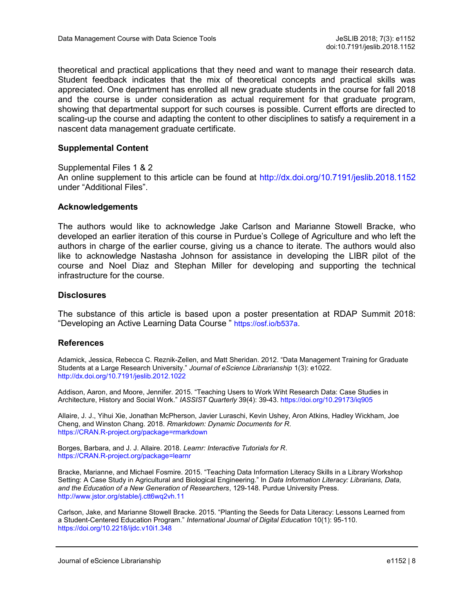theoretical and practical applications that they need and want to manage their research data. Student feedback indicates that the mix of theoretical concepts and practical skills was appreciated. One department has enrolled all new graduate students in the course for fall 2018 and the course is under consideration as actual requirement for that graduate program, showing that departmental support for such courses is possible. Current efforts are directed to scaling-up the course and adapting the content to other disciplines to satisfy a requirement in a nascent data management graduate certificate.

#### **Supplemental Content**

Supplemental Files 1 & 2 An online supplement to this article can be found at <http://dx.doi.org/10.7191/jeslib.2018.1152> under "Additional Files".

#### **Acknowledgements**

The authors would like to acknowledge Jake Carlson and Marianne Stowell Bracke, who developed an earlier iteration of this course in Purdue's College of Agriculture and who left the authors in charge of the earlier course, giving us a chance to iterate. The authors would also like to acknowledge Nastasha Johnson for assistance in developing the LIBR pilot of the course and Noel Diaz and Stephan Miller for developing and supporting the technical infrastructure for the course.

#### **Disclosures**

The substance of this article is based upon a poster presentation at RDAP Summit 2018: "Developing an Active Learning Data Course " [https://osf.io/b537a.](https://osf.io/b537a)

#### **References**

Adamick, Jessica, Rebecca C. Reznik-Zellen, and Matt Sheridan. 2012. "Data Management Training for Graduate Students at a Large Research University." *Journal of eScience Librarianship* 1(3): e1022. <http://dx.doi.org/10.7191/jeslib.2012.1022>

Addison, Aaron, and Moore, Jennifer. 2015. "Teaching Users to Work Wiht Research Data: Case Studies in Architecture, History and Social Work." *IASSIST Quarterly* 39(4): 39-43. <https://doi.org/10.29173/iq905>

Allaire, J. J., Yihui Xie, Jonathan McPherson, Javier Luraschi, Kevin Ushey, Aron Atkins, Hadley Wickham, Joe Cheng, and Winston Chang. 2018. *Rmarkdown: Dynamic Documents for R*. https://CRAN.R-[project.org/package=rmarkdown](https://CRAN.R-project.org/package=rmarkdown)

Borges, Barbara, and J. J. Allaire. 2018. *Learnr: Interactive Tutorials for R*. https://CRAN.R-[project.org/package=learnr](https://CRAN.R-project.org/package=learnr)

Bracke, Marianne, and Michael Fosmire. 2015. "Teaching Data Information Literacy Skills in a Library Workshop Setting: A Case Study in Agricultural and Biological Engineering." In *Data Information Literacy: Librarians, Data, and the Education of a New Generation of Researchers*, 129-148. Purdue University Press. <http://www.jstor.org/stable/j.ctt6wq2vh.11>

Carlson, Jake, and Marianne Stowell Bracke. 2015. "Planting the Seeds for Data Literacy: Lessons Learned from a Student-Centered Education Program." *International Journal of Digital Education* 10(1): 95-110. <https://doi.org/10.2218/ijdc.v10i1.348>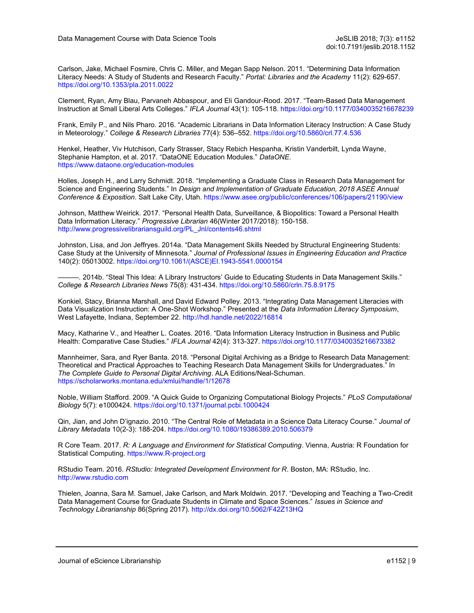Carlson, Jake, Michael Fosmire, Chris C. Miller, and Megan Sapp Nelson. 2011. "Determining Data Information Literacy Needs: A Study of Students and Research Faculty." *Portal: Libraries and the Academy* 11(2): 629-657. <https://doi.org/10.1353/pla.2011.0022>

Clement, Ryan, Amy Blau, Parvaneh Abbaspour, and Eli Gandour-Rood. 2017. "Team-Based Data Management Instruction at Small Liberal Arts Colleges." *IFLA Journal* 43(1): 105-118. <https://doi.org/10.1177/0340035216678239>

Frank, Emily P., and Nils Pharo. 2016. "Academic Librarians in Data Information Literacy Instruction: A Case Study in Meteorology." *College & Research Libraries* 77(4): 536–552. <https://doi.org/10.5860/crl.77.4.536>

Henkel, Heather, Viv Hutchison, Carly Strasser, Stacy Rebich Hespanha, Kristin Vanderbilt, Lynda Wayne, Stephanie Hampton, et al. 2017. "DataONE Education Modules." *DataONE*. [https://www.dataone.org/education](https://www.dataone.org/education-modules)-modules

Holles, Joseph H., and Larry Schmidt. 2018. "Implementing a Graduate Class in Research Data Management for Science and Engineering Students." In *Design and Implementation of Graduate Education, 2018 ASEE Annual Conference & Exposition*. Salt Lake City, Utah. <https://www.asee.org/public/conferences/106/papers/21190/view>

Johnson, Matthew Weirick. 2017. "Personal Health Data, Surveillance, & Biopolitics: Toward a Personal Health Data Information Literacy." *Progressive Librarian* 46(Winter 2017/2018): 150-158. [http://www.progressivelibrariansguild.org/PL\\_Jnl/contents46.shtml](http://www.progressivelibrariansguild.org/PL_Jnl/contents46.shtml)

Johnston, Lisa, and Jon Jeffryes. 2014a. "Data Management Skills Needed by Structural Engineering Students: Case Study at the University of Minnesota." *Journal of Professional Issues in Engineering Education and Practice*  140(2): 05013002. [https://doi.org/10.1061/\(ASCE\)EI.1943](https://doi.org/10.1061/(ASCE)EI.1943-5541.0000154)-5541.0000154

———. 2014b. "Steal This Idea: A Library Instructors' Guide to Educating Students in Data Management Skills." *College & Research Libraries News* 75(8): 431-434. <https://doi.org/10.5860/crln.75.8.9175>

Konkiel, Stacy, Brianna Marshall, and David Edward Polley. 2013. "Integrating Data Management Literacies with Data Visualization Instruction: A One-Shot Workshop." Presented at the *Data Information Literacy Symposium*, West Lafayette, Indiana, September 22. <http://hdl.handle.net/2022/16814>

Macy, Katharine V., and Heather L. Coates. 2016. "Data Information Literacy Instruction in Business and Public Health: Comparative Case Studies." *IFLA Journal* 42(4): 313-327. <https://doi.org/10.1177/0340035216673382>

Mannheimer, Sara, and Ryer Banta. 2018. "Personal Digital Archiving as a Bridge to Research Data Management: Theoretical and Practical Approaches to Teaching Research Data Management Skills for Undergraduates." In *The Complete Guide to Personal Digital Archiving*. ALA Editions/Neal-Schuman. <https://scholarworks.montana.edu/xmlui/handle/1/12678>

Noble, William Stafford. 2009. "A Quick Guide to Organizing Computational Biology Projects." *PLoS Computational Biology* 5(7): e1000424. <https://doi.org/10.1371/journal.pcbi.1000424>

Qin, Jian, and John D'ignazio. 2010. "The Central Role of Metadata in a Science Data Literacy Course." *Journal of Library Metadata* 10(2-3): 188-204.<https://doi.org/10.1080/19386389.2010.506379>

R Core Team. 2017. *R: A Language and Environment for Statistical Computing*. Vienna, Austria: R Foundation for Statistical Computing. [https://www.R](https://www.R-project.org)-project.org

RStudio Team. 2016. *RStudio: Integrated Development Environment for R*. Boston, MA: RStudio, Inc. <http://www.rstudio.com>

Thielen, Joanna, Sara M. Samuel, Jake Carlson, and Mark Moldwin. 2017. "Developing and Teaching a Two-Credit Data Management Course for Graduate Students in Climate and Space Sciences." *Issues in Science and Technology Librarianship* 86(Spring 2017). <http://dx.doi.org/10.5062/F42Z13HQ>